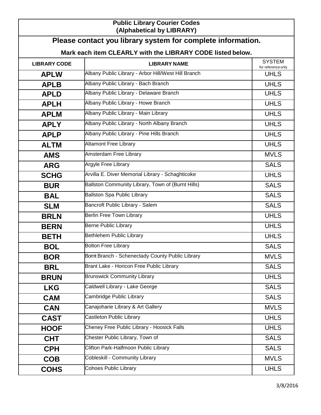## **Public Library Courier Codes (Alphabetical by LIBRARY)**

## **Mark each item CLEARLY with the LIBRARY CODE listed below.**

| <b>LIBRARY CODE</b> | <b>LIBRARY NAME</b>                                 | <b>SYSTEM</b><br>for reference only |
|---------------------|-----------------------------------------------------|-------------------------------------|
| <b>APLW</b>         | Albany Public Library - Arbor Hill/West Hill Branch | <b>UHLS</b>                         |
| <b>APLB</b>         | Albany Public Library - Bach Branch                 | <b>UHLS</b>                         |
| <b>APLD</b>         | Albany Public Library - Delaware Branch             | <b>UHLS</b>                         |
| <b>APLH</b>         | Albany Public Library - Howe Branch                 | <b>UHLS</b>                         |
| <b>APLM</b>         | Albany Public Library - Main Library                | <b>UHLS</b>                         |
| <b>APLY</b>         | Albany Public Library - North Albany Branch         | <b>UHLS</b>                         |
| <b>APLP</b>         | Albany Public Library - Pine Hills Branch           | <b>UHLS</b>                         |
| <b>ALTM</b>         | <b>Altamont Free Library</b>                        | <b>UHLS</b>                         |
| <b>AMS</b>          | Amsterdam Free Library                              | <b>MVLS</b>                         |
| <b>ARG</b>          | <b>Argyle Free Library</b>                          | <b>SALS</b>                         |
| <b>SCHG</b>         | Arvilla E. Diver Memorial Library - Schaghticoke    | <b>UHLS</b>                         |
| <b>BUR</b>          | Ballston Community Library, Town of (Burnt Hills)   | <b>SALS</b>                         |
| <b>BAL</b>          | <b>Ballston Spa Public Library</b>                  | <b>SALS</b>                         |
| <b>SLM</b>          | Bancroft Public Library - Salem                     | <b>SALS</b>                         |
| <b>BRLN</b>         | <b>Berlin Free Town Library</b>                     | <b>UHLS</b>                         |
| <b>BERN</b>         | <b>Berne Public Library</b>                         | <b>UHLS</b>                         |
| <b>BETH</b>         | Bethlehem Public Library                            | <b>UHLS</b>                         |
| <b>BOL</b>          | <b>Bolton Free Library</b>                          | <b>SALS</b>                         |
| <b>BOR</b>          | Bornt Branch - Schenectady County Public Library    | <b>MVLS</b>                         |
| <b>BRL</b>          | Brant Lake - Horicon Free Public Library            | <b>SALS</b>                         |
| <b>BRUN</b>         | <b>Brunswick Community Library</b>                  | <b>UHLS</b>                         |
| <b>LKG</b>          | Caldwell Library - Lake George                      | <b>SALS</b>                         |
| <b>CAM</b>          | Cambridge Public Library                            | <b>SALS</b>                         |
| <b>CAN</b>          | Canajoharie Library & Art Gallery                   | <b>MVLS</b>                         |
| <b>CAST</b>         | Castleton Public Library                            | <b>UHLS</b>                         |
| <b>HOOF</b>         | Cheney Free Public Library - Hoosick Falls          | <b>UHLS</b>                         |
| <b>CHT</b>          | Chester Public Library, Town of                     | <b>SALS</b>                         |
| <b>CPH</b>          | Clifton Park-Halfmoon Public Library                | <b>SALS</b>                         |
| <b>COB</b>          | <b>Cobleskill - Community Library</b>               | <b>MVLS</b>                         |
| <b>COHS</b>         | <b>Cohoes Public Library</b>                        | <b>UHLS</b>                         |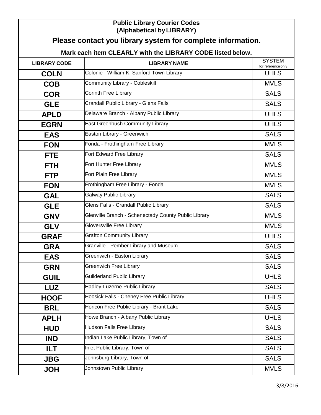## **Public Library Courier Codes (Alphabetical byLIBRARY)**

| Please contact you library system for complete information. |                                                      |                                     |  |  |
|-------------------------------------------------------------|------------------------------------------------------|-------------------------------------|--|--|
| Mark each item CLEARLY with the LIBRARY CODE listed below.  |                                                      |                                     |  |  |
| <b>LIBRARY CODE</b>                                         | <b>LIBRARY NAME</b>                                  | <b>SYSTEM</b><br>for reference only |  |  |
| <b>COLN</b>                                                 | Colonie - William K. Sanford Town Library            | <b>UHLS</b>                         |  |  |
| <b>COB</b>                                                  | <b>Community Library - Cobleskill</b>                | <b>MVLS</b>                         |  |  |
| <b>COR</b>                                                  | <b>Corinth Free Library</b>                          | <b>SALS</b>                         |  |  |
| <b>GLE</b>                                                  | Crandall Public Library - Glens Falls                | <b>SALS</b>                         |  |  |
| <b>APLD</b>                                                 | Delaware Branch - Albany Public Library              | <b>UHLS</b>                         |  |  |
| <b>EGRN</b>                                                 | <b>East Greenbush Community Library</b>              | <b>UHLS</b>                         |  |  |
| <b>EAS</b>                                                  | Easton Library - Greenwich                           | <b>SALS</b>                         |  |  |
| <b>FON</b>                                                  | Fonda - Frothingham Free Library                     | <b>MVLS</b>                         |  |  |
| <b>FTE</b>                                                  | Fort Edward Free Library                             | <b>SALS</b>                         |  |  |
| <b>FTH</b>                                                  | Fort Hunter Free Library                             | <b>MVLS</b>                         |  |  |
| <b>FTP</b>                                                  | Fort Plain Free Library                              | <b>MVLS</b>                         |  |  |
| <b>FON</b>                                                  | Frothingham Free Library - Fonda                     | <b>MVLS</b>                         |  |  |
| <b>GAL</b>                                                  | <b>Galway Public Library</b>                         | <b>SALS</b>                         |  |  |
| <b>GLE</b>                                                  | Glens Falls - Crandall Public Library                | <b>SALS</b>                         |  |  |
| <b>GNV</b>                                                  | Glenville Branch - Schenectady County Public Library | <b>MVLS</b>                         |  |  |
| <b>GLV</b>                                                  | <b>Gloversville Free Library</b>                     | <b>MVLS</b>                         |  |  |
| <b>GRAF</b>                                                 | <b>Grafton Community Library</b>                     | <b>UHLS</b>                         |  |  |
| <b>GRA</b>                                                  | Granville - Pember Library and Museum                | <b>SALS</b>                         |  |  |
| <b>EAS</b>                                                  | Greenwich - Easton Library                           | <b>SALS</b>                         |  |  |
| <b>GRN</b>                                                  | <b>Greenwich Free Library</b>                        | <b>SALS</b>                         |  |  |
| <b>GUIL</b>                                                 | <b>Guilderland Public Library</b>                    | <b>UHLS</b>                         |  |  |
| <b>LUZ</b>                                                  | Hadley-Luzerne Public Library                        | <b>SALS</b>                         |  |  |
| <b>HOOF</b>                                                 | Hoosick Falls - Cheney Free Public Library           | <b>UHLS</b>                         |  |  |
| <b>BRL</b>                                                  | Horicon Free Public Library - Brant Lake             | <b>SALS</b>                         |  |  |
| <b>APLH</b>                                                 | Howe Branch - Albany Public Library                  | <b>UHLS</b>                         |  |  |
| <b>HUD</b>                                                  | <b>Hudson Falls Free Library</b>                     | <b>SALS</b>                         |  |  |
| <b>IND</b>                                                  | Indian Lake Public Library, Town of                  | <b>SALS</b>                         |  |  |
| ILT.                                                        | Inlet Public Library, Town of                        | <b>SALS</b>                         |  |  |
| <b>JBG</b>                                                  | Johnsburg Library, Town of                           | <b>SALS</b>                         |  |  |
| <b>HOL</b>                                                  | Johnstown Public Library                             | <b>MVLS</b>                         |  |  |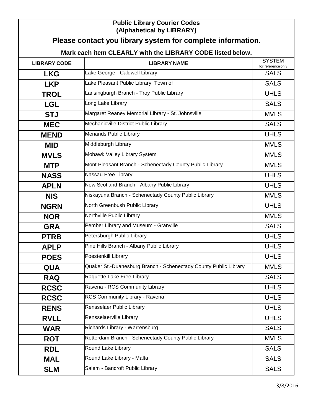## **Public Library Courier Codes (Alphabetical by LIBRARY)**

|                                                            | Please contact you library system for complete information.      |                                     |  |  |
|------------------------------------------------------------|------------------------------------------------------------------|-------------------------------------|--|--|
| Mark each item CLEARLY with the LIBRARY CODE listed below. |                                                                  |                                     |  |  |
| <b>LIBRARY CODE</b>                                        | <b>LIBRARY NAME</b>                                              | <b>SYSTEM</b><br>for reference only |  |  |
| <b>LKG</b>                                                 | Lake George - Caldwell Library                                   | <b>SALS</b>                         |  |  |
| <b>LKP</b>                                                 | Lake Pleasant Public Library, Town of                            | <b>SALS</b>                         |  |  |
| <b>TROL</b>                                                | Lansingburgh Branch - Troy Public Library                        | <b>UHLS</b>                         |  |  |
| <b>LGL</b>                                                 | Long Lake Library                                                | <b>SALS</b>                         |  |  |
| <b>STJ</b>                                                 | Margaret Reaney Memorial Library - St. Johnsville                | <b>MVLS</b>                         |  |  |
| <b>MEC</b>                                                 | Mechanicville District Public Library                            | <b>SALS</b>                         |  |  |
| <b>MEND</b>                                                | Menands Public Library                                           | <b>UHLS</b>                         |  |  |
| <b>MID</b>                                                 | Middleburgh Library                                              | <b>MVLS</b>                         |  |  |
| <b>MVLS</b>                                                | Mohawk Valley Library System                                     | <b>MVLS</b>                         |  |  |
| <b>MTP</b>                                                 | Mont Pleasant Branch - Schenectady County Public Library         | <b>MVLS</b>                         |  |  |
| <b>NASS</b>                                                | Nassau Free Library                                              | <b>UHLS</b>                         |  |  |
| <b>APLN</b>                                                | New Scotland Branch - Albany Public Library                      | <b>UHLS</b>                         |  |  |
| <b>NIS</b>                                                 | Niskayuna Branch - Schenectady County Public Library             | <b>MVLS</b>                         |  |  |
| <b>NGRN</b>                                                | North Greenbush Public Library                                   | <b>UHLS</b>                         |  |  |
| <b>NOR</b>                                                 | Northville Public Library                                        | <b>MVLS</b>                         |  |  |
| <b>GRA</b>                                                 | Pember Library and Museum - Granville                            | <b>SALS</b>                         |  |  |
| <b>PTRB</b>                                                | Petersburgh Public Library                                       | <b>UHLS</b>                         |  |  |
| <b>APLP</b>                                                | Pine Hills Branch - Albany Public Library                        | <b>UHLS</b>                         |  |  |
| <b>POES</b>                                                | Poestenkill Library                                              | <b>UHLS</b>                         |  |  |
| QUA                                                        | Quaker St.-Duanesburg Branch - Schenectady County Public Library | <b>MVLS</b>                         |  |  |
| <b>RAQ</b>                                                 | Raquette Lake Free Library                                       | <b>SALS</b>                         |  |  |
| <b>RCSC</b>                                                | Ravena - RCS Community Library                                   | <b>UHLS</b>                         |  |  |
| <b>RCSC</b>                                                | RCS Community Library - Ravena                                   | <b>UHLS</b>                         |  |  |
| <b>RENS</b>                                                | Rensselaer Public Library                                        | <b>UHLS</b>                         |  |  |
| <b>RVLL</b>                                                | Rensselaerville Library                                          | <b>UHLS</b>                         |  |  |
| <b>WAR</b>                                                 | Richards Library - Warrensburg                                   | <b>SALS</b>                         |  |  |
| <b>ROT</b>                                                 | Rotterdam Branch - Schenectady County Public Library             | <b>MVLS</b>                         |  |  |
| <b>RDL</b>                                                 | Round Lake Library                                               | <b>SALS</b>                         |  |  |
| <b>MAL</b>                                                 | Round Lake Library - Malta                                       | <b>SALS</b>                         |  |  |
| <b>SLM</b>                                                 | Salem - Bancroft Public Library                                  | <b>SALS</b>                         |  |  |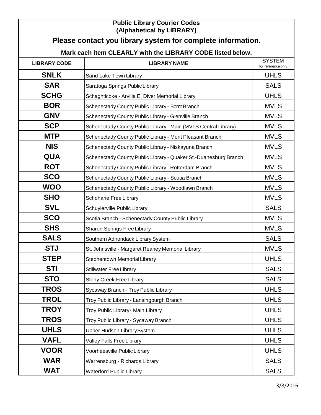| <b>Public Library Courier Codes</b><br>(Alphabetical by LIBRARY) |                                                                  |                                     |  |  |
|------------------------------------------------------------------|------------------------------------------------------------------|-------------------------------------|--|--|
|                                                                  | Please contact you library system for complete information.      |                                     |  |  |
| Mark each item CLEARLY with the LIBRARY CODE listed below.       |                                                                  |                                     |  |  |
| <b>LIBRARY CODE</b>                                              | <b>LIBRARY NAME</b>                                              | <b>SYSTEM</b><br>for reference only |  |  |
| <b>SNLK</b>                                                      | Sand Lake Town Library                                           | <b>UHLS</b>                         |  |  |
| <b>SAR</b>                                                       | Saratoga Springs Public Library                                  | <b>SALS</b>                         |  |  |
| <b>SCHG</b>                                                      | Schaghticoke - Arvilla E. Diver Memorial Library                 | <b>UHLS</b>                         |  |  |
| <b>BOR</b>                                                       | Schenectady County Public Library - Bornt Branch                 | <b>MVLS</b>                         |  |  |
| <b>GNV</b>                                                       | Schenectady County Public Library - Glenville Branch             | <b>MVLS</b>                         |  |  |
| <b>SCP</b>                                                       | Schenectady County Public Library - Main (MVLS Central Library)  | <b>MVLS</b>                         |  |  |
| <b>MTP</b>                                                       | Schenectady County Public Library - Mont Pleasant Branch         | <b>MVLS</b>                         |  |  |
| <b>NIS</b>                                                       | Schenectady County Public Library - Niskayuna Branch             | <b>MVLS</b>                         |  |  |
| <b>QUA</b>                                                       | Schenectady County Public Library - Quaker St.-Duanesburg Branch | <b>MVLS</b>                         |  |  |
| <b>ROT</b>                                                       | Schenectady County Public Library - Rotterdam Branch             | <b>MVLS</b>                         |  |  |
| <b>SCO</b>                                                       | Schenectady County Public Library - Scotia Branch                | <b>MVLS</b>                         |  |  |
| <b>WOO</b>                                                       | Schenectady County Public Library - Woodlawn Branch              | <b>MVLS</b>                         |  |  |
| <b>SHO</b>                                                       | Schoharie Free Library                                           | <b>MVLS</b>                         |  |  |
| <b>SVL</b>                                                       | Schuylerville Public Library                                     | <b>SALS</b>                         |  |  |
| <b>SCO</b>                                                       | Scotia Branch - Schenectady County Public Library                | <b>MVLS</b>                         |  |  |
| <b>SHS</b>                                                       | Sharon Springs Free Library                                      | <b>MVLS</b>                         |  |  |
| <b>SALS</b>                                                      | Southern Adirondack Library System                               | <b>SALS</b>                         |  |  |
| <b>STJ</b>                                                       | St. Johnsville - Margaret Reaney Memorial Library                | <b>MVLS</b>                         |  |  |
| <b>STEP</b>                                                      | <b>Stephentown Memorial Library</b>                              | <b>UHLS</b>                         |  |  |
| <b>STI</b>                                                       | <b>Stillwater Free Library</b>                                   | <b>SALS</b>                         |  |  |
| <b>STO</b>                                                       | <b>Stony Creek Free Library</b>                                  | <b>SALS</b>                         |  |  |
| <b>TROS</b>                                                      | Sycaway Branch - Troy Public Library                             | <b>UHLS</b>                         |  |  |

**TROL** Troy Public Library - Lansingburgh Branch TROL UHLS **TROY** Troy Public Library- Main Library **TROY** UHLS **TROS** Troy Public Library - Sycaway Branch TROS TROS UHLS Upper Hudson LibrarySystem **UHLS** UHLS **VAFL** Valley Falls Free Library **VAFL** UHLS **VOOR** Voorheesville Public Library VOOR UHLS **WAR** Warrensburg - Richards Library New York Contracts All SALS **WAT** Waterford Public Library Network Contract WAT SALS